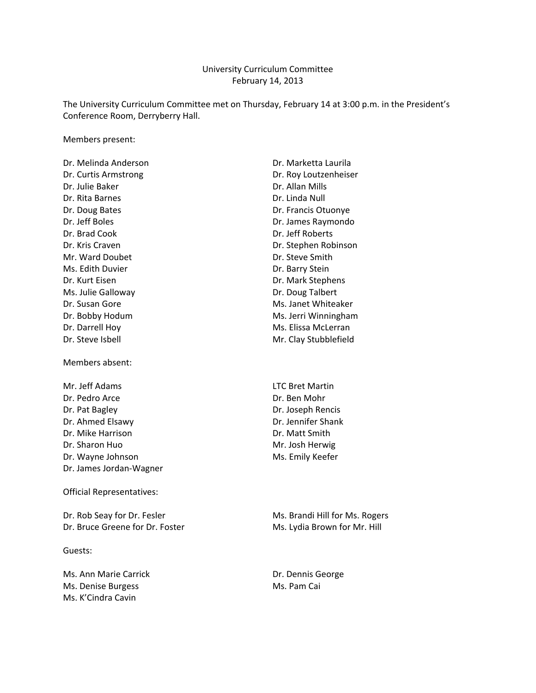#### University Curriculum Committee February 14, 2013

The University Curriculum Committee met on Thursday, February 14 at 3:00 p.m. in the President's Conference Room, Derryberry Hall.

Members present:

Dr. Julie Baker Dr. Allan Mills Dr. Rita Barnes **Dr. Linda Null** Dr. Doug Bates **Dr. Francis Otuonye** Dr. Jeff Boles Dr. James Raymondo Dr. Brad Cook Dr. Jeff Roberts Mr. Ward Doubet **Dr. Steve Smith** Ms. Edith Duvier **Dr. Barry Stein** Dr. Kurt Eisen Dr. Mark Stephens Ms. Julie Galloway **Dr. Doug Talbert** Dr. Susan Gore Ms. Janet Whiteaker Dr. Darrell Hoy Ms. Elissa McLerran Dr. Steve Isbell **Dr. Steve Isbell** Mr. Clay Stubblefield

Members absent:

Mr. Jeff Adams LTC Bret Martin Dr. Pedro Arce Dr. Ben Mohr Dr. Pat Bagley Dr. Joseph Rencis Dr. Ahmed Elsawy Dr. Jennifer Shank Dr. Mike Harrison **Dr. Matt Smith** Dr. Sharon Huo Mr. Josh Herwig Dr. Wayne Johnson Ms. Emily Keefer Dr. James Jordan‐Wagner

Official Representatives:

Dr. Rob Seay for Dr. Fesler Music Communications and Ms. Brandi Hill for Ms. Rogers Dr. Bruce Greene for Dr. Foster Ms. Lydia Brown for Mr. Hill

Guests:

Ms. Ann Marie Carrick Dr. Dennis George Ms. Denise Burgess Ms. Pam Cai Ms. K'Cindra Cavin

Dr. Melinda Anderson **Dr. Marketta Laurila** Dr. Curtis Armstrong **Dr. Curtis Armstrong** Dr. Kris Craven **Dr. Stephen Robinson** Dr. Bobby Hodum Ms. Jerri Winningham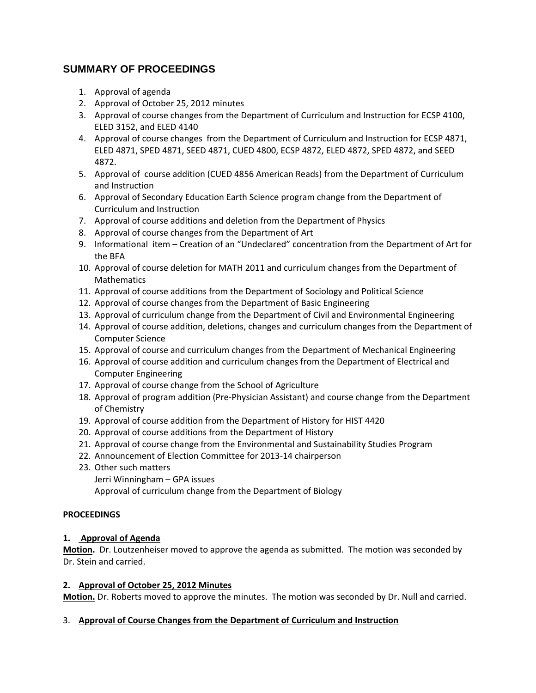# **SUMMARY OF PROCEEDINGS**

- 1. Approval of agenda
- 2. Approval of October 25, 2012 minutes
- 3. Approval of course changes from the Department of Curriculum and Instruction for ECSP 4100, ELED 3152, and ELED 4140
- 4. Approval of course changes from the Department of Curriculum and Instruction for ECSP 4871, ELED 4871, SPED 4871, SEED 4871, CUED 4800, ECSP 4872, ELED 4872, SPED 4872, and SEED 4872.
- 5. Approval of course addition (CUED 4856 American Reads) from the Department of Curriculum and Instruction
- 6. Approval of Secondary Education Earth Science program change from the Department of Curriculum and Instruction
- 7. Approval of course additions and deletion from the Department of Physics
- 8. Approval of course changes from the Department of Art
- 9. Informational item Creation of an "Undeclared" concentration from the Department of Art for the BFA
- 10. Approval of course deletion for MATH 2011 and curriculum changes from the Department of **Mathematics**
- 11. Approval of course additions from the Department of Sociology and Political Science
- 12. Approval of course changes from the Department of Basic Engineering
- 13. Approval of curriculum change from the Department of Civil and Environmental Engineering
- 14. Approval of course addition, deletions, changes and curriculum changes from the Department of Computer Science
- 15. Approval of course and curriculum changes from the Department of Mechanical Engineering
- 16. Approval of course addition and curriculum changes from the Department of Electrical and Computer Engineering
- 17. Approval of course change from the School of Agriculture
- 18. Approval of program addition (Pre‐Physician Assistant) and course change from the Department of Chemistry
- 19. Approval of course addition from the Department of History for HIST 4420
- 20. Approval of course additions from the Department of History
- 21. Approval of course change from the Environmental and Sustainability Studies Program
- 22. Announcement of Election Committee for 2013‐14 chairperson
- 23. Other such matters

Jerri Winningham – GPA issues Approval of curriculum change from the Department of Biology

## **PROCEEDINGS**

## **1. Approval of Agenda**

**Motion.** Dr. Loutzenheiser moved to approve the agenda as submitted. The motion was seconded by Dr. Stein and carried.

## **2. Approval of October 25, 2012 Minutes**

**Motion.** Dr. Roberts moved to approve the minutes. The motion was seconded by Dr. Null and carried.

## 3. **Approval of Course Changes from the Department of Curriculum and Instruction**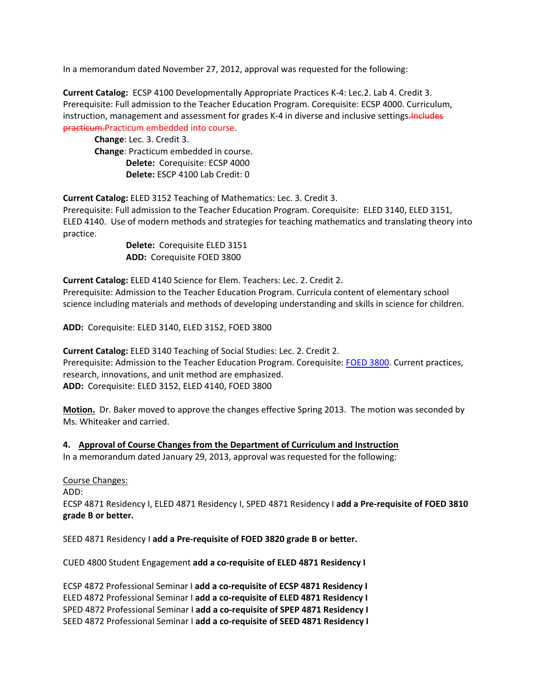In a memorandum dated November 27, 2012, approval was requested for the following:

**Current Catalog:** ECSP 4100 Developmentally Appropriate Practices K‐4: Lec.2. Lab 4. Credit 3. Prerequisite: Full admission to the Teacher Education Program. Corequisite: ECSP 4000. Curriculum, instruction, management and assessment for grades K-4 in diverse and inclusive settings. Includes practicum.Practicum embedded into course.

**Change**: Lec. 3. Credit 3. **Change**: Practicum embedded in course. **Delete:** Corequisite: ECSP 4000 **Delete:** ESCP 4100 Lab Credit: 0

**Current Catalog:** ELED 3152 Teaching of Mathematics: Lec. 3. Credit 3.

Prerequisite: Full admission to the Teacher Education Program. Corequisite: ELED 3140, ELED 3151, ELED 4140. Use of modern methods and strategies for teaching mathematics and translating theory into practice.

**Delete:** Corequisite ELED 3151 **ADD:** Corequisite FOED 3800

**Current Catalog:** ELED 4140 Science for Elem. Teachers: Lec. 2. Credit 2. Prerequisite: Admission to the Teacher Education Program. Curricula content of elementary school science including materials and methods of developing understanding and skills in science for children.

**ADD:** Corequisite: ELED 3140, ELED 3152, FOED 3800

**Current Catalog:** ELED 3140 Teaching of Social Studies: Lec. 2. Credit 2. Prerequisite: Admission to the Teacher Education Program. Corequisite: FOED 3800. Current practices, research, innovations, and unit method are emphasized. **ADD:** Corequisite: ELED 3152, ELED 4140, FOED 3800

**Motion.** Dr. Baker moved to approve the changes effective Spring 2013. The motion was seconded by Ms. Whiteaker and carried.

## **4. Approval of Course Changes from the Department of Curriculum and Instruction**

In a memorandum dated January 29, 2013, approval was requested for the following:

#### Course Changes:

ADD:

ECSP 4871 Residency I, ELED 4871 Residency I, SPED 4871 Residency I **add a Pre‐requisite of FOED 3810 grade B or better.**

SEED 4871 Residency I **add a Pre‐requisite of FOED 3820 grade B or better.**

CUED 4800 Student Engagement **add a co‐requisite of ELED 4871 Residency I**

ECSP 4872 Professional Seminar I **add a co‐requisite of ECSP 4871 Residency I** ELED 4872 Professional Seminar I **add a co‐requisite of ELED 4871 Residency I** SPED 4872 Professional Seminar I **add a co‐requisite of SPEP 4871 Residency I** SEED 4872 Professional Seminar I **add a co‐requisite of SEED 4871 Residency I**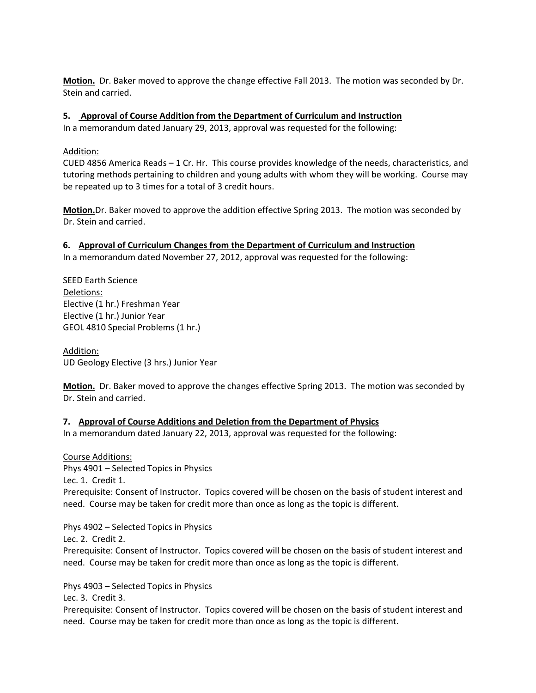**Motion.** Dr. Baker moved to approve the change effective Fall 2013. The motion was seconded by Dr. Stein and carried.

## **5. Approval of Course Addition from the Department of Curriculum and Instruction**

In a memorandum dated January 29, 2013, approval was requested for the following:

## Addition:

CUED 4856 America Reads – 1 Cr. Hr. This course provides knowledge of the needs, characteristics, and tutoring methods pertaining to children and young adults with whom they will be working. Course may be repeated up to 3 times for a total of 3 credit hours.

**Motion.**Dr. Baker moved to approve the addition effective Spring 2013. The motion was seconded by Dr. Stein and carried.

## **6. Approval of Curriculum Changes from the Department of Curriculum and Instruction**

In a memorandum dated November 27, 2012, approval was requested for the following:

SEED Earth Science Deletions: Elective (1 hr.) Freshman Year Elective (1 hr.) Junior Year GEOL 4810 Special Problems (1 hr.)

Addition: UD Geology Elective (3 hrs.) Junior Year

**Motion.** Dr. Baker moved to approve the changes effective Spring 2013. The motion was seconded by Dr. Stein and carried.

# **7. Approval of Course Additions and Deletion from the Department of Physics**

In a memorandum dated January 22, 2013, approval was requested for the following:

Course Additions: Phys 4901 – Selected Topics in Physics Lec. 1. Credit 1. Prerequisite: Consent of Instructor. Topics covered will be chosen on the basis of student interest and need. Course may be taken for credit more than once as long as the topic is different.

Phys 4902 – Selected Topics in Physics

Lec. 2. Credit 2.

Prerequisite: Consent of Instructor. Topics covered will be chosen on the basis of student interest and need. Course may be taken for credit more than once as long as the topic is different.

Phys 4903 – Selected Topics in Physics

Lec. 3. Credit 3.

Prerequisite: Consent of Instructor. Topics covered will be chosen on the basis of student interest and need. Course may be taken for credit more than once as long as the topic is different.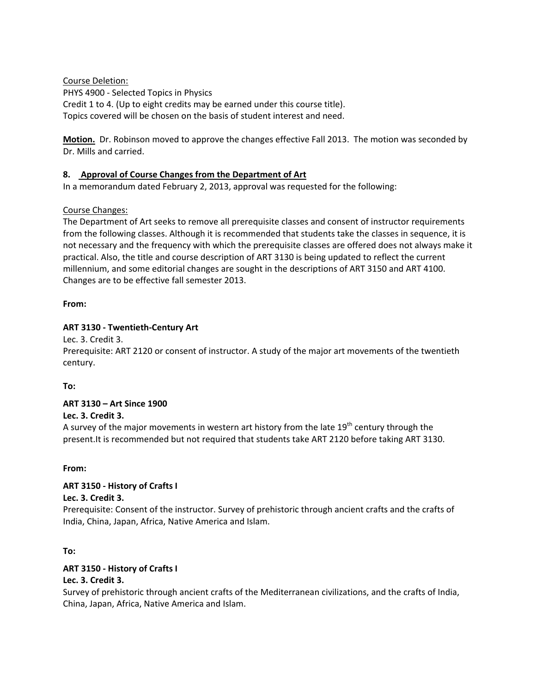Course Deletion:

PHYS 4900 ‐ Selected Topics in Physics Credit 1 to 4. (Up to eight credits may be earned under this course title). Topics covered will be chosen on the basis of student interest and need.

**Motion.** Dr. Robinson moved to approve the changes effective Fall 2013. The motion was seconded by Dr. Mills and carried.

## **8. Approval of Course Changes from the Department of Art**

In a memorandum dated February 2, 2013, approval was requested for the following:

## Course Changes:

The Department of Art seeks to remove all prerequisite classes and consent of instructor requirements from the following classes. Although it is recommended that students take the classes in sequence, it is not necessary and the frequency with which the prerequisite classes are offered does not always make it practical. Also, the title and course description of ART 3130 is being updated to reflect the current millennium, and some editorial changes are sought in the descriptions of ART 3150 and ART 4100. Changes are to be effective fall semester 2013.

## **From:**

## **ART 3130 ‐ Twentieth‐Century Art**

Lec. 3. Credit 3.

Prerequisite: ART 2120 or consent of instructor. A study of the major art movements of the twentieth century.

**To:**

# **ART 3130 – Art Since 1900**

# **Lec. 3. Credit 3.**

A survey of the major movements in western art history from the late  $19<sup>th</sup>$  century through the present.It is recommended but not required that students take ART 2120 before taking ART 3130.

## **From:**

# **ART 3150 ‐ History of Crafts I**

## **Lec. 3. Credit 3.**

Prerequisite: Consent of the instructor. Survey of prehistoric through ancient crafts and the crafts of India, China, Japan, Africa, Native America and Islam.

## **To:**

# **ART 3150 ‐ History of Crafts I**

# **Lec. 3. Credit 3.**

Survey of prehistoric through ancient crafts of the Mediterranean civilizations, and the crafts of India, China, Japan, Africa, Native America and Islam.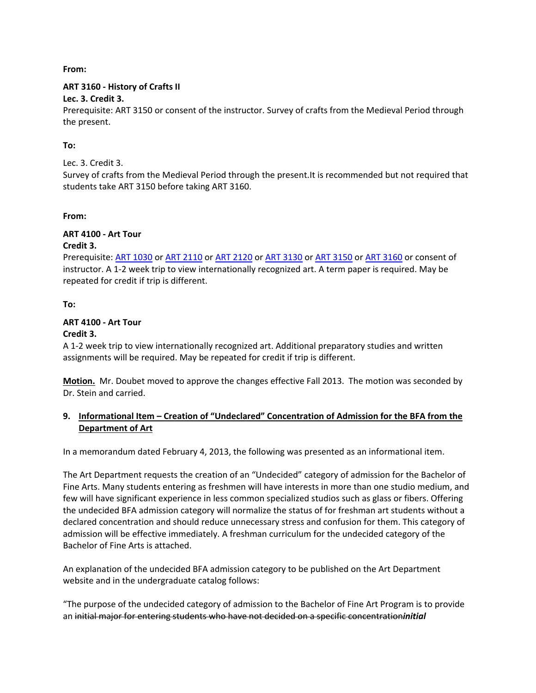**From:**

# **ART 3160 ‐ History of Crafts II**

# **Lec. 3. Credit 3.**

Prerequisite: ART 3150 or consent of the instructor. Survey of crafts from the Medieval Period through the present.

# **To:**

# Lec. 3. Credit 3.

Survey of crafts from the Medieval Period through the present.It is recommended but not required that students take ART 3150 before taking ART 3160.

# **From:**

# **ART 4100 ‐ Art Tour**

# **Credit 3.**

Prerequisite: ART 1030 or ART 2110 or ART 2120 or ART 3130 or ART 3150 or ART 3160 or consent of instructor. A 1‐2 week trip to view internationally recognized art. A term paper is required. May be repeated for credit if trip is different.

**To:**

# **ART 4100 ‐ Art Tour**

# **Credit 3.**

A 1‐2 week trip to view internationally recognized art. Additional preparatory studies and written assignments will be required. May be repeated for credit if trip is different.

**Motion.** Mr. Doubet moved to approve the changes effective Fall 2013. The motion was seconded by Dr. Stein and carried.

# **9. Informational Item – Creation of "Undeclared" Concentration of Admission for the BFA from the Department of Art**

In a memorandum dated February 4, 2013, the following was presented as an informational item.

The Art Department requests the creation of an "Undecided" category of admission for the Bachelor of Fine Arts. Many students entering as freshmen will have interests in more than one studio medium, and few will have significant experience in less common specialized studios such as glass or fibers. Offering the undecided BFA admission category will normalize the status of for freshman art students without a declared concentration and should reduce unnecessary stress and confusion for them. This category of admission will be effective immediately. A freshman curriculum for the undecided category of the Bachelor of Fine Arts is attached.

An explanation of the undecided BFA admission category to be published on the Art Department website and in the undergraduate catalog follows:

"The purpose of the undecided category of admission to the Bachelor of Fine Art Program is to provide an initial major for entering students who have not decided on a specific concentration*initial*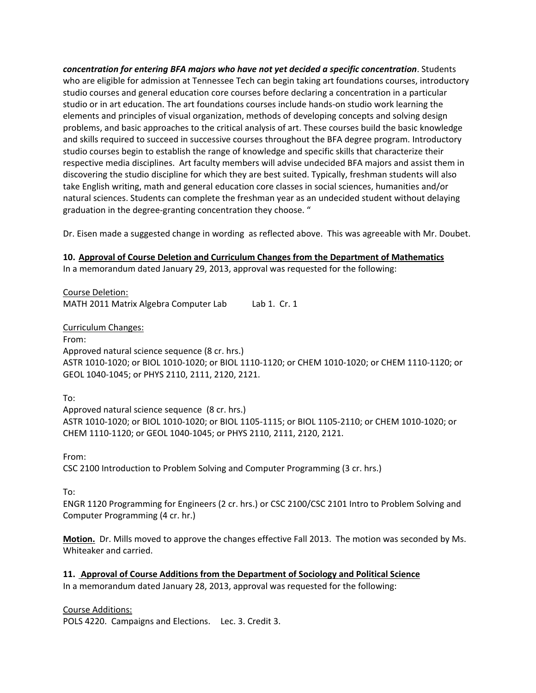*concentration for entering BFA majors who have not yet decided a specific concentration*. Students who are eligible for admission at Tennessee Tech can begin taking art foundations courses, introductory studio courses and general education core courses before declaring a concentration in a particular studio or in art education. The art foundations courses include hands‐on studio work learning the elements and principles of visual organization, methods of developing concepts and solving design problems, and basic approaches to the critical analysis of art. These courses build the basic knowledge and skills required to succeed in successive courses throughout the BFA degree program. Introductory studio courses begin to establish the range of knowledge and specific skills that characterize their respective media disciplines. Art faculty members will advise undecided BFA majors and assist them in discovering the studio discipline for which they are best suited. Typically, freshman students will also take English writing, math and general education core classes in social sciences, humanities and/or natural sciences. Students can complete the freshman year as an undecided student without delaying graduation in the degree‐granting concentration they choose. "

Dr. Eisen made a suggested change in wording as reflected above. This was agreeable with Mr. Doubet.

## **10. Approval of Course Deletion and Curriculum Changes from the Department of Mathematics**

In a memorandum dated January 29, 2013, approval was requested for the following:

Course Deletion: MATH 2011 Matrix Algebra Computer Lab Lab 1. Cr. 1

Curriculum Changes:

From:

Approved natural science sequence (8 cr. hrs.) ASTR 1010‐1020; or BIOL 1010‐1020; or BIOL 1110‐1120; or CHEM 1010‐1020; or CHEM 1110‐1120; or GEOL 1040‐1045; or PHYS 2110, 2111, 2120, 2121.

To:

Approved natural science sequence (8 cr. hrs.) ASTR 1010‐1020; or BIOL 1010‐1020; or BIOL 1105‐1115; or BIOL 1105‐2110; or CHEM 1010‐1020; or CHEM 1110‐1120; or GEOL 1040‐1045; or PHYS 2110, 2111, 2120, 2121.

From:

CSC 2100 Introduction to Problem Solving and Computer Programming (3 cr. hrs.)

To:

ENGR 1120 Programming for Engineers (2 cr. hrs.) or CSC 2100/CSC 2101 Intro to Problem Solving and Computer Programming (4 cr. hr.)

**Motion.** Dr. Mills moved to approve the changes effective Fall 2013. The motion was seconded by Ms. Whiteaker and carried.

**11. Approval of Course Additions from the Department of Sociology and Political Science**

In a memorandum dated January 28, 2013, approval was requested for the following:

Course Additions:

POLS 4220. Campaigns and Elections. Lec. 3. Credit 3.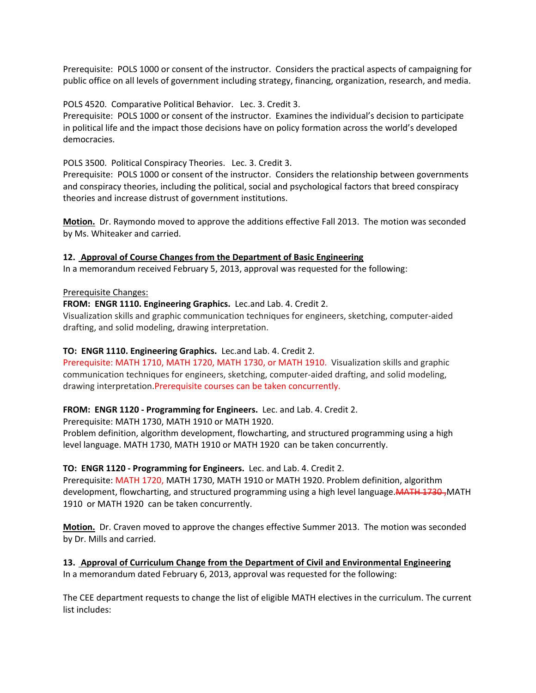Prerequisite: POLS 1000 or consent of the instructor. Considers the practical aspects of campaigning for public office on all levels of government including strategy, financing, organization, research, and media.

POLS 4520. Comparative Political Behavior. Lec. 3. Credit 3.

Prerequisite: POLS 1000 or consent of the instructor. Examines the individual's decision to participate in political life and the impact those decisions have on policy formation across the world's developed democracies.

POLS 3500. Political Conspiracy Theories. Lec. 3. Credit 3.

Prerequisite: POLS 1000 or consent of the instructor. Considers the relationship between governments and conspiracy theories, including the political, social and psychological factors that breed conspiracy theories and increase distrust of government institutions.

**Motion.** Dr. Raymondo moved to approve the additions effective Fall 2013. The motion was seconded by Ms. Whiteaker and carried.

## **12. Approval of Course Changes from the Department of Basic Engineering**

In a memorandum received February 5, 2013, approval was requested for the following:

#### Prerequisite Changes:

## **FROM: ENGR 1110. Engineering Graphics.** Lec.and Lab. 4. Credit 2.

Visualization skills and graphic communication techniques for engineers, sketching, computer‐aided drafting, and solid modeling, drawing interpretation.

## **TO: ENGR 1110. Engineering Graphics.** Lec.and Lab. 4. Credit 2.

Prerequisite: MATH 1710, MATH 1720, MATH 1730, or MATH 1910. Visualization skills and graphic communication techniques for engineers, sketching, computer‐aided drafting, and solid modeling, drawing interpretation.Prerequisite courses can be taken concurrently.

## **FROM: ENGR 1120 ‐ Programming for Engineers.** Lec. and Lab. 4. Credit 2.

Prerequisite: MATH 1730, MATH 1910 or MATH 1920.

Problem definition, algorithm development, flowcharting, and structured programming using a high level language. MATH 1730, MATH 1910 or MATH 1920 can be taken concurrently.

# **TO: ENGR 1120 ‐ Programming for Engineers.** Lec. and Lab. 4. Credit 2.

Prerequisite: MATH 1720, MATH 1730, MATH 1910 or MATH 1920. Problem definition, algorithm development, flowcharting, and structured programming using a high level language. MATH 1730-MATH 1910 or MATH 1920 can be taken concurrently.

**Motion.** Dr. Craven moved to approve the changes effective Summer 2013. The motion was seconded by Dr. Mills and carried.

### **13. Approval of Curriculum Change from the Department of Civil and Environmental Engineering** In a memorandum dated February 6, 2013, approval was requested for the following:

The CEE department requests to change the list of eligible MATH electives in the curriculum. The current list includes: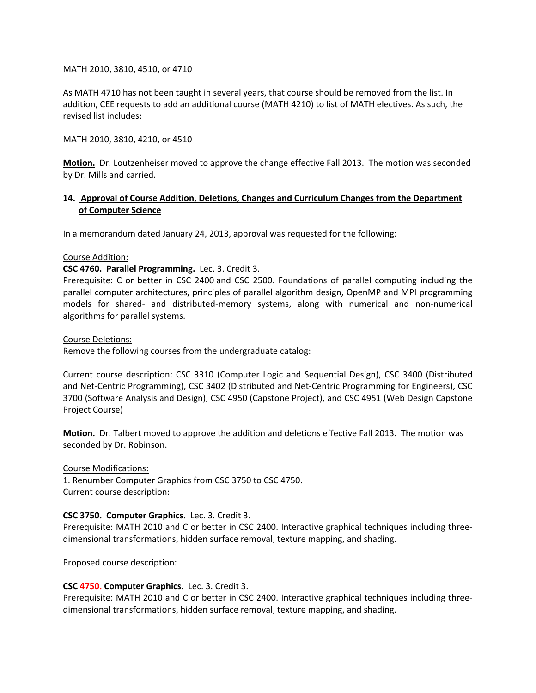MATH 2010, 3810, 4510, or 4710

As MATH 4710 has not been taught in several years, that course should be removed from the list. In addition, CEE requests to add an additional course (MATH 4210) to list of MATH electives. As such, the revised list includes:

MATH 2010, 3810, 4210, or 4510

**Motion.** Dr. Loutzenheiser moved to approve the change effective Fall 2013. The motion was seconded by Dr. Mills and carried.

## **14. Approval of Course Addition, Deletions, Changes and Curriculum Changes from the Department of Computer Science**

In a memorandum dated January 24, 2013, approval was requested for the following:

#### Course Addition:

#### **CSC 4760. Parallel Programming.** Lec. 3. Credit 3.

Prerequisite: C or better in CSC 2400 and CSC 2500. Foundations of parallel computing including the parallel computer architectures, principles of parallel algorithm design, OpenMP and MPI programming models for shared‐ and distributed‐memory systems, along with numerical and non‐numerical algorithms for parallel systems.

Course Deletions:

Remove the following courses from the undergraduate catalog:

Current course description: CSC 3310 (Computer Logic and Sequential Design), CSC 3400 (Distributed and Net‐Centric Programming), CSC 3402 (Distributed and Net‐Centric Programming for Engineers), CSC 3700 (Software Analysis and Design), CSC 4950 (Capstone Project), and CSC 4951 (Web Design Capstone Project Course)

**Motion.** Dr. Talbert moved to approve the addition and deletions effective Fall 2013. The motion was seconded by Dr. Robinson.

Course Modifications:

1. Renumber Computer Graphics from CSC 3750 to CSC 4750. Current course description:

## **CSC 3750. Computer Graphics.** Lec. 3. Credit 3.

Prerequisite: MATH 2010 and C or better in CSC 2400. Interactive graphical techniques including three‐ dimensional transformations, hidden surface removal, texture mapping, and shading.

Proposed course description:

#### **CSC 4750. Computer Graphics.** Lec. 3. Credit 3.

Prerequisite: MATH 2010 and C or better in CSC 2400. Interactive graphical techniques including three‐ dimensional transformations, hidden surface removal, texture mapping, and shading.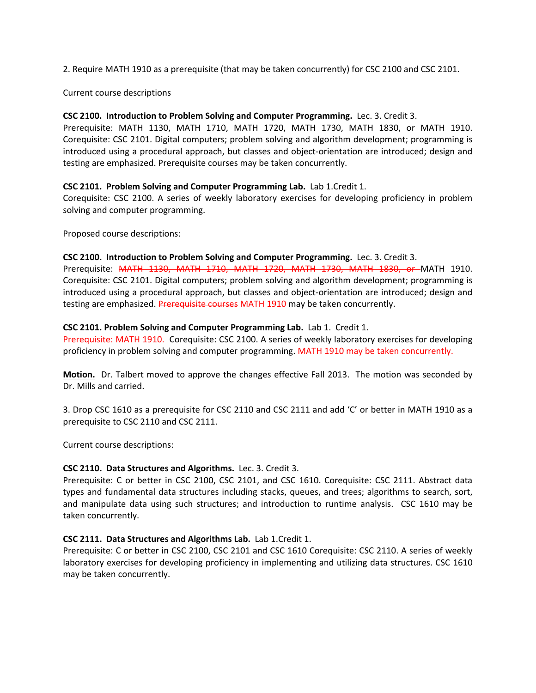2. Require MATH 1910 as a prerequisite (that may be taken concurrently) for CSC 2100 and CSC 2101.

Current course descriptions

#### **CSC 2100. Introduction to Problem Solving and Computer Programming.** Lec. 3. Credit 3.

Prerequisite: MATH 1130, MATH 1710, MATH 1720, MATH 1730, MATH 1830, or MATH 1910. Corequisite: CSC 2101. Digital computers; problem solving and algorithm development; programming is introduced using a procedural approach, but classes and object‐orientation are introduced; design and testing are emphasized. Prerequisite courses may be taken concurrently.

#### **CSC 2101. Problem Solving and Computer Programming Lab.** Lab 1.Credit 1.

Corequisite: CSC 2100. A series of weekly laboratory exercises for developing proficiency in problem solving and computer programming.

Proposed course descriptions:

#### **CSC 2100. Introduction to Problem Solving and Computer Programming.** Lec. 3. Credit 3.

Prerequisite: MATH 1130, MATH 1710, MATH 1720, MATH 1730, MATH 1830, or MATH 1910. Corequisite: CSC 2101. Digital computers; problem solving and algorithm development; programming is introduced using a procedural approach, but classes and object‐orientation are introduced; design and testing are emphasized. Prerequisite courses MATH 1910 may be taken concurrently.

#### **CSC 2101. Problem Solving and Computer Programming Lab.** Lab 1. Credit 1.

Prerequisite: MATH 1910. Corequisite: CSC 2100. A series of weekly laboratory exercises for developing proficiency in problem solving and computer programming. MATH 1910 may be taken concurrently.

**Motion.** Dr. Talbert moved to approve the changes effective Fall 2013. The motion was seconded by Dr. Mills and carried.

3. Drop CSC 1610 as a prerequisite for CSC 2110 and CSC 2111 and add 'C' or better in MATH 1910 as a prerequisite to CSC 2110 and CSC 2111.

Current course descriptions:

## **CSC 2110. Data Structures and Algorithms.** Lec. 3. Credit 3.

Prerequisite: C or better in CSC 2100, CSC 2101, and CSC 1610. Corequisite: CSC 2111. Abstract data types and fundamental data structures including stacks, queues, and trees; algorithms to search, sort, and manipulate data using such structures; and introduction to runtime analysis. CSC 1610 may be taken concurrently.

## **CSC 2111. Data Structures and Algorithms Lab.** Lab 1.Credit 1.

Prerequisite: C or better in CSC 2100, CSC 2101 and CSC 1610 Corequisite: CSC 2110. A series of weekly laboratory exercises for developing proficiency in implementing and utilizing data structures. CSC 1610 may be taken concurrently.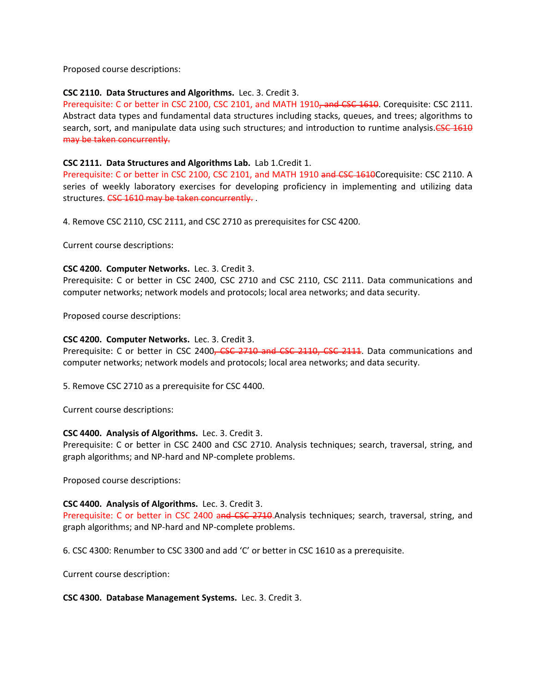Proposed course descriptions:

### **CSC 2110. Data Structures and Algorithms.** Lec. 3. Credit 3.

Prerequisite: C or better in CSC 2100, CSC 2101, and MATH 1910, and CSC 1610. Corequisite: CSC 2111. Abstract data types and fundamental data structures including stacks, queues, and trees; algorithms to search, sort, and manipulate data using such structures; and introduction to runtime analysis.<del>CSC 1610</del> may be taken concurrently.

#### **CSC 2111. Data Structures and Algorithms Lab.** Lab 1.Credit 1.

Prerequisite: C or better in CSC 2100, CSC 2101, and MATH 1910 and CSC 1610Corequisite: CSC 2110. A series of weekly laboratory exercises for developing proficiency in implementing and utilizing data structures. CSC 1610 may be taken concurrently.

4. Remove CSC 2110, CSC 2111, and CSC 2710 as prerequisites for CSC 4200.

Current course descriptions:

#### **CSC 4200. Computer Networks.** Lec. 3. Credit 3.

Prerequisite: C or better in CSC 2400, CSC 2710 and CSC 2110, CSC 2111. Data communications and computer networks; network models and protocols; local area networks; and data security.

Proposed course descriptions:

#### **CSC 4200. Computer Networks.** Lec. 3. Credit 3.

Prerequisite: C or better in CSC 2400, CSC 2710 and CSC 2110, CSC 2111. Data communications and computer networks; network models and protocols; local area networks; and data security.

5. Remove CSC 2710 as a prerequisite for CSC 4400.

Current course descriptions:

#### **CSC 4400. Analysis of Algorithms.** Lec. 3. Credit 3.

Prerequisite: C or better in CSC 2400 and CSC 2710. Analysis techniques; search, traversal, string, and graph algorithms; and NP‐hard and NP‐complete problems.

Proposed course descriptions:

## **CSC 4400. Analysis of Algorithms.** Lec. 3. Credit 3.

Prerequisite: C or better in CSC 2400 and CSC 2710. Analysis techniques; search, traversal, string, and graph algorithms; and NP‐hard and NP‐complete problems.

6. CSC 4300: Renumber to CSC 3300 and add 'C' or better in CSC 1610 as a prerequisite.

Current course description:

#### **CSC 4300. Database Management Systems.** Lec. 3. Credit 3.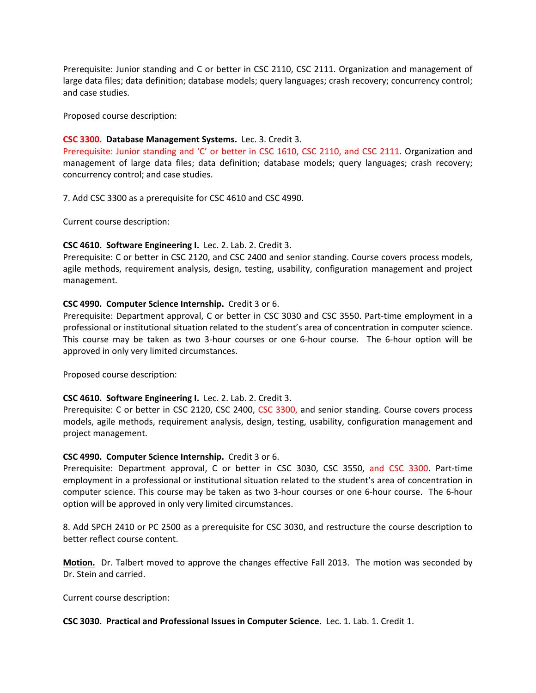Prerequisite: Junior standing and C or better in CSC 2110, CSC 2111. Organization and management of large data files; data definition; database models; query languages; crash recovery; concurrency control; and case studies.

Proposed course description:

#### **CSC 3300. Database Management Systems.** Lec. 3. Credit 3.

Prerequisite: Junior standing and 'C' or better in CSC 1610, CSC 2110, and CSC 2111. Organization and management of large data files; data definition; database models; query languages; crash recovery; concurrency control; and case studies.

7. Add CSC 3300 as a prerequisite for CSC 4610 and CSC 4990.

Current course description:

#### **CSC 4610. Software Engineering I.** Lec. 2. Lab. 2. Credit 3.

Prerequisite: C or better in CSC 2120, and CSC 2400 and senior standing. Course covers process models, agile methods, requirement analysis, design, testing, usability, configuration management and project management.

#### **CSC 4990. Computer Science Internship.** Credit 3 or 6.

Prerequisite: Department approval, C or better in CSC 3030 and CSC 3550. Part‐time employment in a professional or institutional situation related to the student's area of concentration in computer science. This course may be taken as two 3-hour courses or one 6-hour course. The 6-hour option will be approved in only very limited circumstances.

Proposed course description:

## **CSC 4610. Software Engineering I.** Lec. 2. Lab. 2. Credit 3.

Prerequisite: C or better in CSC 2120, CSC 2400, CSC 3300, and senior standing. Course covers process models, agile methods, requirement analysis, design, testing, usability, configuration management and project management.

#### **CSC 4990. Computer Science Internship.** Credit 3 or 6.

Prerequisite: Department approval, C or better in CSC 3030, CSC 3550, and CSC 3300. Part‐time employment in a professional or institutional situation related to the student's area of concentration in computer science. This course may be taken as two 3‐hour courses or one 6‐hour course. The 6‐hour option will be approved in only very limited circumstances.

8. Add SPCH 2410 or PC 2500 as a prerequisite for CSC 3030, and restructure the course description to better reflect course content.

**Motion.** Dr. Talbert moved to approve the changes effective Fall 2013. The motion was seconded by Dr. Stein and carried.

Current course description:

**CSC 3030. Practical and Professional Issues in Computer Science.** Lec. 1. Lab. 1. Credit 1.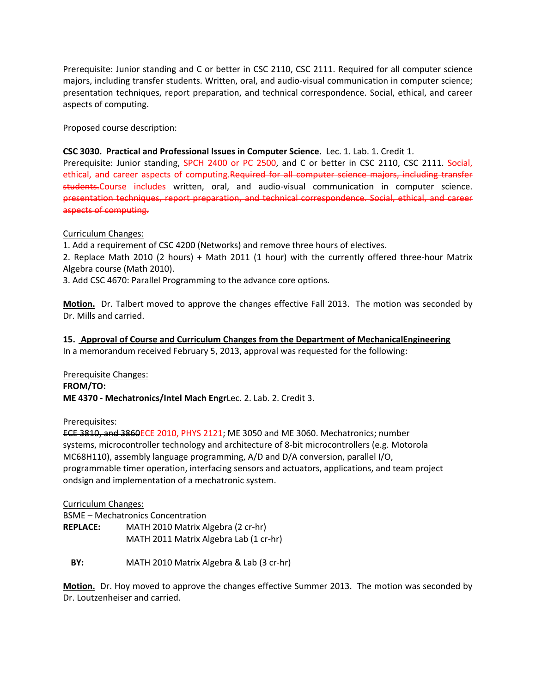Prerequisite: Junior standing and C or better in CSC 2110, CSC 2111. Required for all computer science majors, including transfer students. Written, oral, and audio‐visual communication in computer science; presentation techniques, report preparation, and technical correspondence. Social, ethical, and career aspects of computing.

Proposed course description:

### **CSC 3030. Practical and Professional Issues in Computer Science.** Lec. 1. Lab. 1. Credit 1.

Prerequisite: Junior standing, SPCH 2400 or PC 2500, and C or better in CSC 2110, CSC 2111. Social, ethical, and career aspects of computing.Required for all computer science majors, including transfer students.Course includes written, oral, and audio-visual communication in computer science. presentation techniques, report preparation, and technical correspondence. Social, ethical, and career aspects of computing.

Curriculum Changes:

1. Add a requirement of CSC 4200 (Networks) and remove three hours of electives.

2. Replace Math 2010 (2 hours) + Math 2011 (1 hour) with the currently offered three‐hour Matrix Algebra course (Math 2010).

3. Add CSC 4670: Parallel Programming to the advance core options.

**Motion.** Dr. Talbert moved to approve the changes effective Fall 2013. The motion was seconded by Dr. Mills and carried.

**15. Approval of Course and Curriculum Changes from the Department of MechanicalEngineering** In a memorandum received February 5, 2013, approval was requested for the following:

Prerequisite Changes:

**FROM/TO: ME 4370 ‐ Mechatronics/Intel Mach Engr**Lec. 2. Lab. 2. Credit 3.

Prerequisites:

ECE 3810, and 3860ECE 2010, PHYS 2121; ME 3050 and ME 3060. Mechatronics; number systems, microcontroller technology and architecture of 8‐bit microcontrollers (e.g. Motorola MC68H110), assembly language programming, A/D and D/A conversion, parallel I/O, programmable timer operation, interfacing sensors and actuators, applications, and team project ondsign and implementation of a mechatronic system.

Curriculum Changes: BSME – Mechatronics Concentration **REPLACE:**  MATH 2010 Matrix Algebra (2 cr‐hr) MATH 2011 Matrix Algebra Lab (1 cr-hr)

**BY:**  MATH 2010 Matrix Algebra & Lab (3 cr‐hr)

**Motion.** Dr. Hoy moved to approve the changes effective Summer 2013. The motion was seconded by Dr. Loutzenheiser and carried.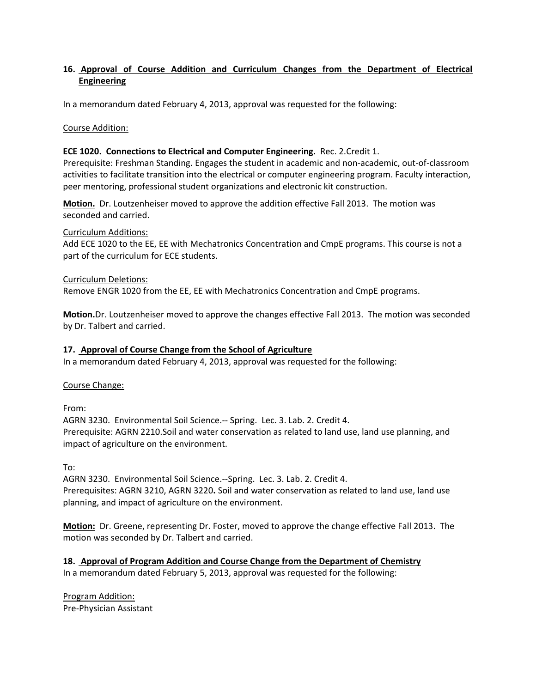## **16. Approval of Course Addition and Curriculum Changes from the Department of Electrical Engineering**

In a memorandum dated February 4, 2013, approval was requested for the following:

Course Addition:

#### **ECE 1020. Connections to Electrical and Computer Engineering.** Rec. 2.Credit 1.

Prerequisite: Freshman Standing. Engages the student in academic and non‐academic, out‐of‐classroom activities to facilitate transition into the electrical or computer engineering program. Faculty interaction, peer mentoring, professional student organizations and electronic kit construction.

**Motion.** Dr. Loutzenheiser moved to approve the addition effective Fall 2013. The motion was seconded and carried.

Curriculum Additions:

Add ECE 1020 to the EE, EE with Mechatronics Concentration and CmpE programs. This course is not a part of the curriculum for ECE students.

Curriculum Deletions:

Remove ENGR 1020 from the EE, EE with Mechatronics Concentration and CmpE programs.

**Motion.**Dr. Loutzenheiser moved to approve the changes effective Fall 2013. The motion was seconded by Dr. Talbert and carried.

### **17. Approval of Course Change from the School of Agriculture**

In a memorandum dated February 4, 2013, approval was requested for the following:

Course Change:

From:

AGRN 3230. Environmental Soil Science.‐‐ Spring. Lec. 3. Lab. 2. Credit 4. Prerequisite: AGRN 2210.Soil and water conservation as related to land use, land use planning, and impact of agriculture on the environment.

To:

AGRN 3230. Environmental Soil Science.‐‐Spring. Lec. 3. Lab. 2. Credit 4. Prerequisites: AGRN 3210, AGRN 3220**.** Soil and water conservation as related to land use, land use planning, and impact of agriculture on the environment.

**Motion:** Dr. Greene, representing Dr. Foster, moved to approve the change effective Fall 2013. The motion was seconded by Dr. Talbert and carried.

**18. Approval of Program Addition and Course Change from the Department of Chemistry** In a memorandum dated February 5, 2013, approval was requested for the following:

Program Addition: Pre‐Physician Assistant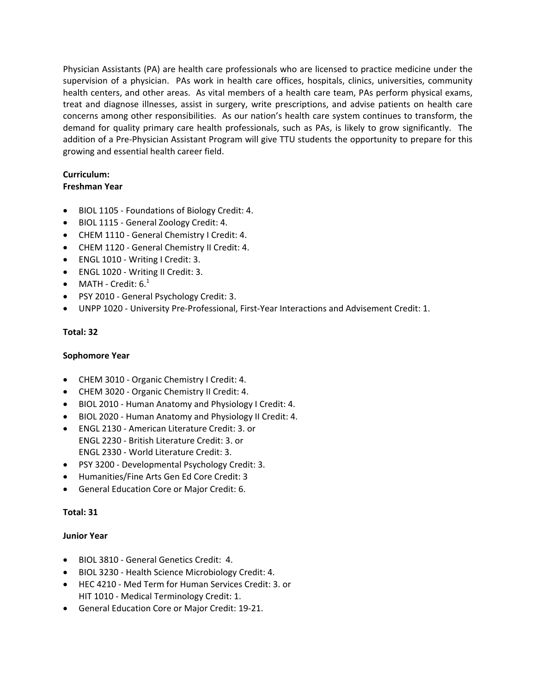Physician Assistants (PA) are health care professionals who are licensed to practice medicine under the supervision of a physician. PAs work in health care offices, hospitals, clinics, universities, community health centers, and other areas. As vital members of a health care team, PAs perform physical exams, treat and diagnose illnesses, assist in surgery, write prescriptions, and advise patients on health care concerns among other responsibilities. As our nation's health care system continues to transform, the demand for quality primary care health professionals, such as PAs, is likely to grow significantly. The addition of a Pre‐Physician Assistant Program will give TTU students the opportunity to prepare for this growing and essential health career field.

## **Curriculum: Freshman Year**

- BIOL 1105 ‐ Foundations of Biology Credit: 4.
- BIOL 1115 ‐ General Zoology Credit: 4.
- CHEM 1110 ‐ General Chemistry I Credit: 4.
- CHEM 1120 ‐ General Chemistry II Credit: 4.
- ENGL 1010 Writing I Credit: 3.
- ENGL 1020 Writing II Credit: 3.
- MATH Credit:  $6.^1$
- PSY 2010 General Psychology Credit: 3.
- UNPP 1020 ‐ University Pre‐Professional, First‐Year Interactions and Advisement Credit: 1.

## **Total: 32**

## **Sophomore Year**

- CHEM 3010 Organic Chemistry I Credit: 4.
- CHEM 3020 Organic Chemistry II Credit: 4.
- BIOL 2010 ‐ Human Anatomy and Physiology I Credit: 4.
- BIOL 2020 ‐ Human Anatomy and Physiology II Credit: 4.
- ENGL 2130 ‐ American Literature Credit: 3. or ENGL 2230 ‐ British Literature Credit: 3. or ENGL 2330 ‐ World Literature Credit: 3.
- PSY 3200 Developmental Psychology Credit: 3.
- Humanities/Fine Arts Gen Ed Core Credit: 3
- General Education Core or Major Credit: 6.

## **Total: 31**

## **Junior Year**

- BIOL 3810 ‐ General Genetics Credit: 4.
- BIOL 3230 Health Science Microbiology Credit: 4.
- HEC 4210 ‐ Med Term for Human Services Credit: 3. or HIT 1010 - Medical Terminology Credit: 1.
- General Education Core or Major Credit: 19‐21.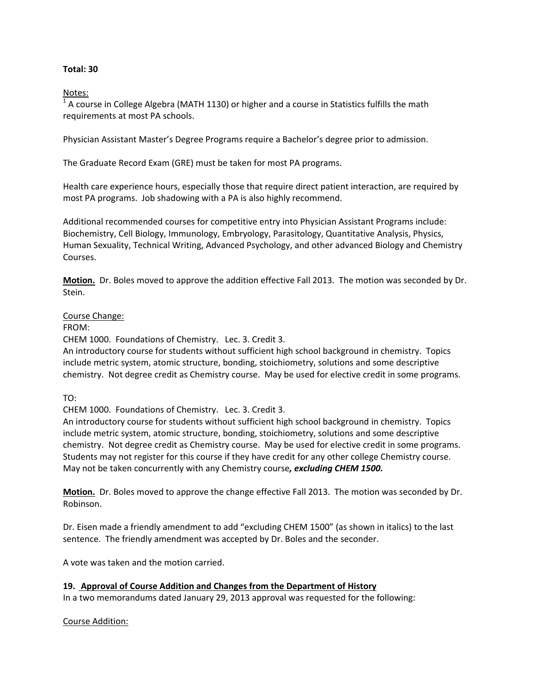## **Total: 30**

Notes:

 $1$  A course in College Algebra (MATH 1130) or higher and a course in Statistics fulfills the math requirements at most PA schools.

Physician Assistant Master's Degree Programs require a Bachelor's degree prior to admission.

The Graduate Record Exam (GRE) must be taken for most PA programs.

Health care experience hours, especially those that require direct patient interaction, are required by most PA programs. Job shadowing with a PA is also highly recommend.

Additional recommended courses for competitive entry into Physician Assistant Programs include: Biochemistry, Cell Biology, Immunology, Embryology, Parasitology, Quantitative Analysis, Physics, Human Sexuality, Technical Writing, Advanced Psychology, and other advanced Biology and Chemistry Courses.

**Motion.** Dr. Boles moved to approve the addition effective Fall 2013. The motion was seconded by Dr. Stein.

#### Course Change:

FROM:

CHEM 1000. Foundations of Chemistry. Lec. 3. Credit 3.

An introductory course for students without sufficient high school background in chemistry. Topics include metric system, atomic structure, bonding, stoichiometry, solutions and some descriptive chemistry. Not degree credit as Chemistry course. May be used for elective credit in some programs.

TO:

CHEM 1000. Foundations of Chemistry. Lec. 3. Credit 3.

An introductory course for students without sufficient high school background in chemistry. Topics include metric system, atomic structure, bonding, stoichiometry, solutions and some descriptive chemistry. Not degree credit as Chemistry course. May be used for elective credit in some programs. Students may not register for this course if they have credit for any other college Chemistry course. May not be taken concurrently with any Chemistry course*, excluding CHEM 1500.*

**Motion.** Dr. Boles moved to approve the change effective Fall 2013. The motion was seconded by Dr. Robinson.

Dr. Eisen made a friendly amendment to add "excluding CHEM 1500" (as shown in italics) to the last sentence. The friendly amendment was accepted by Dr. Boles and the seconder.

A vote was taken and the motion carried.

## **19. Approval of Course Addition and Changes from the Department of History**

In a two memorandums dated January 29, 2013 approval was requested for the following:

#### Course Addition: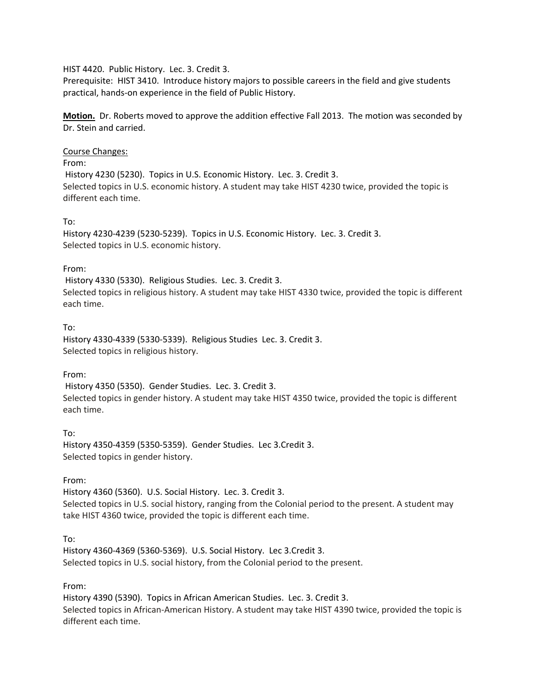### HIST 4420. Public History. Lec. 3. Credit 3.

Prerequisite: HIST 3410. Introduce history majors to possible careers in the field and give students practical, hands‐on experience in the field of Public History.

**Motion.** Dr. Roberts moved to approve the addition effective Fall 2013. The motion was seconded by Dr. Stein and carried.

#### Course Changes:

From:

History 4230 (5230). Topics in U.S. Economic History. Lec. 3. Credit 3. Selected topics in U.S. economic history. A student may take HIST 4230 twice, provided the topic is different each time.

#### To:

History 4230‐4239 (5230‐5239). Topics in U.S. Economic History. Lec. 3. Credit 3. Selected topics in U.S. economic history.

#### From:

History 4330 (5330). Religious Studies. Lec. 3. Credit 3. Selected topics in religious history. A student may take HIST 4330 twice, provided the topic is different each time.

## To:

History 4330‐4339 (5330‐5339). Religious Studies Lec. 3. Credit 3. Selected topics in religious history.

## From:

History 4350 (5350). Gender Studies. Lec. 3. Credit 3. Selected topics in gender history. A student may take HIST 4350 twice, provided the topic is different each time.

#### To:

History 4350‐4359 (5350‐5359). Gender Studies. Lec 3.Credit 3. Selected topics in gender history.

## From:

History 4360 (5360). U.S. Social History. Lec. 3. Credit 3. Selected topics in U.S. social history, ranging from the Colonial period to the present. A student may take HIST 4360 twice, provided the topic is different each time.

## To:

History 4360‐4369 (5360‐5369). U.S. Social History. Lec 3.Credit 3. Selected topics in U.S. social history, from the Colonial period to the present.

## From:

History 4390 (5390). Topics in African American Studies. Lec. 3. Credit 3. Selected topics in African‐American History. A student may take HIST 4390 twice, provided the topic is different each time.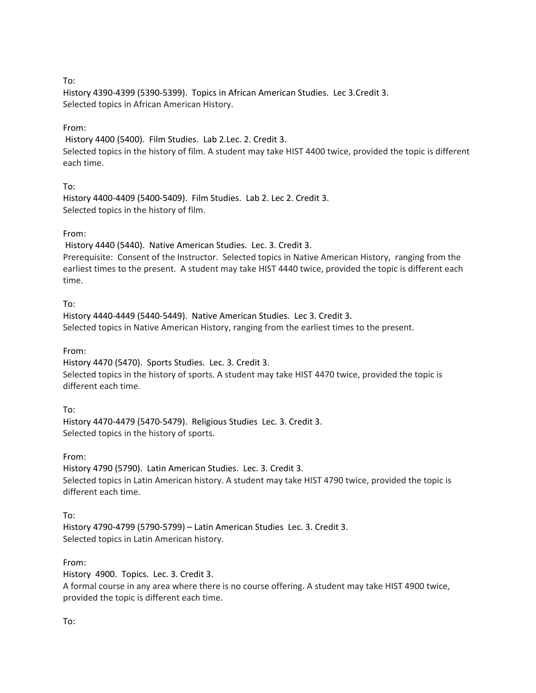## To:

History 4390‐4399 (5390‐5399). Topics in African American Studies. Lec 3.Credit 3. Selected topics in African American History.

## From:

History 4400 (5400). Film Studies. Lab 2.Lec. 2. Credit 3.

Selected topics in the history of film. A student may take HIST 4400 twice, provided the topic is different each time.

# To:

History 4400‐4409 (5400‐5409). Film Studies. Lab 2. Lec 2. Credit 3. Selected topics in the history of film.

## From:

History 4440 (5440). Native American Studies. Lec. 3. Credit 3. Prerequisite: Consent of the Instructor. Selected topics in Native American History, ranging from the earliest times to the present. A student may take HIST 4440 twice, provided the topic is different each time.

## To:

History 4440‐4449 (5440‐5449). Native American Studies. Lec 3. Credit 3. Selected topics in Native American History, ranging from the earliest times to the present.

## From:

History 4470 (5470). Sports Studies. Lec. 3. Credit 3. Selected topics in the history of sports. A student may take HIST 4470 twice, provided the topic is different each time.

# To:

History 4470‐4479 (5470‐5479). Religious Studies Lec. 3. Credit 3. Selected topics in the history of sports.

## From:

History 4790 (5790). Latin American Studies. Lec. 3. Credit 3. Selected topics in Latin American history. A student may take HIST 4790 twice, provided the topic is different each time.

# To:

History 4790‐4799 (5790‐5799) – Latin American Studies Lec. 3. Credit 3. Selected topics in Latin American history.

# From:

History 4900. Topics. Lec. 3. Credit 3. A formal course in any area where there is no course offering. A student may take HIST 4900 twice, provided the topic is different each time.

## To: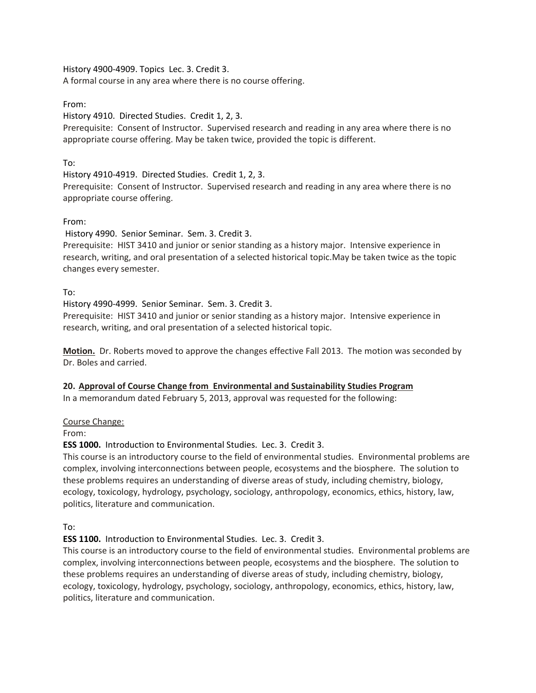History 4900‐4909. Topics Lec. 3. Credit 3. A formal course in any area where there is no course offering.

# From:

History 4910. Directed Studies. Credit 1, 2, 3.

Prerequisite: Consent of Instructor. Supervised research and reading in any area where there is no appropriate course offering. May be taken twice, provided the topic is different.

# To:

History 4910‐4919. Directed Studies. Credit 1, 2, 3.

Prerequisite: Consent of Instructor. Supervised research and reading in any area where there is no appropriate course offering.

# From:

History 4990. Senior Seminar. Sem. 3. Credit 3.

Prerequisite: HIST 3410 and junior or senior standing as a history major. Intensive experience in research, writing, and oral presentation of a selected historical topic.May be taken twice as the topic changes every semester.

To:

History 4990‐4999. Senior Seminar. Sem. 3. Credit 3.

Prerequisite: HIST 3410 and junior or senior standing as a history major. Intensive experience in research, writing, and oral presentation of a selected historical topic.

**Motion.** Dr. Roberts moved to approve the changes effective Fall 2013. The motion was seconded by Dr. Boles and carried.

# **20. Approval of Course Change from Environmental and Sustainability Studies Program**

In a memorandum dated February 5, 2013, approval was requested for the following:

# Course Change:

From:

# **ESS 1000.** Introduction to Environmental Studies. Lec. 3. Credit 3.

This course is an introductory course to the field of environmental studies. Environmental problems are complex, involving interconnections between people, ecosystems and the biosphere. The solution to these problems requires an understanding of diverse areas of study, including chemistry, biology, ecology, toxicology, hydrology, psychology, sociology, anthropology, economics, ethics, history, law, politics, literature and communication.

To:

# **ESS 1100.** Introduction to Environmental Studies. Lec. 3. Credit 3.

This course is an introductory course to the field of environmental studies. Environmental problems are complex, involving interconnections between people, ecosystems and the biosphere. The solution to these problems requires an understanding of diverse areas of study, including chemistry, biology, ecology, toxicology, hydrology, psychology, sociology, anthropology, economics, ethics, history, law, politics, literature and communication.